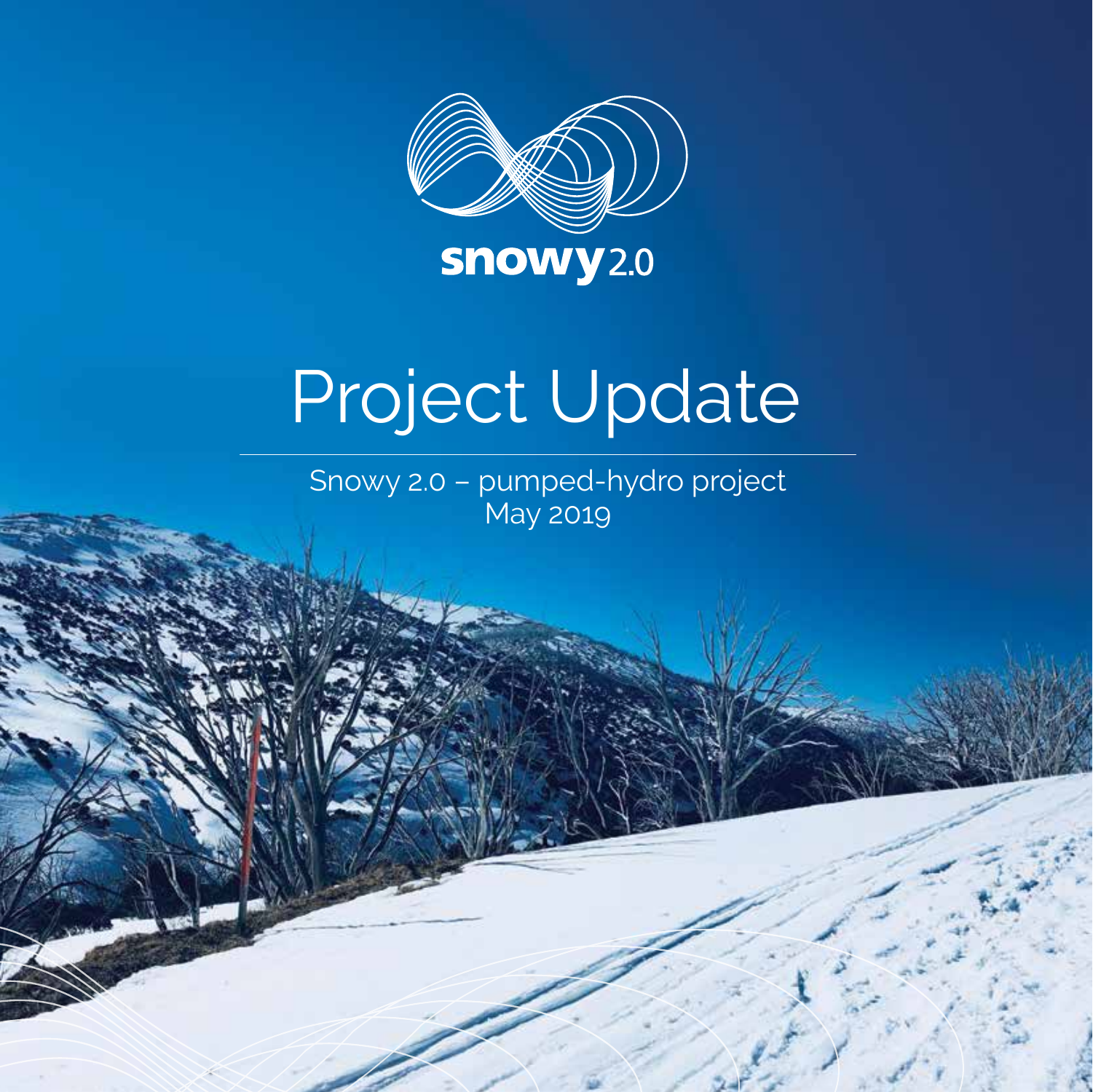

# Project Update

Snowy 2.0 – pumped-hydro project May 2019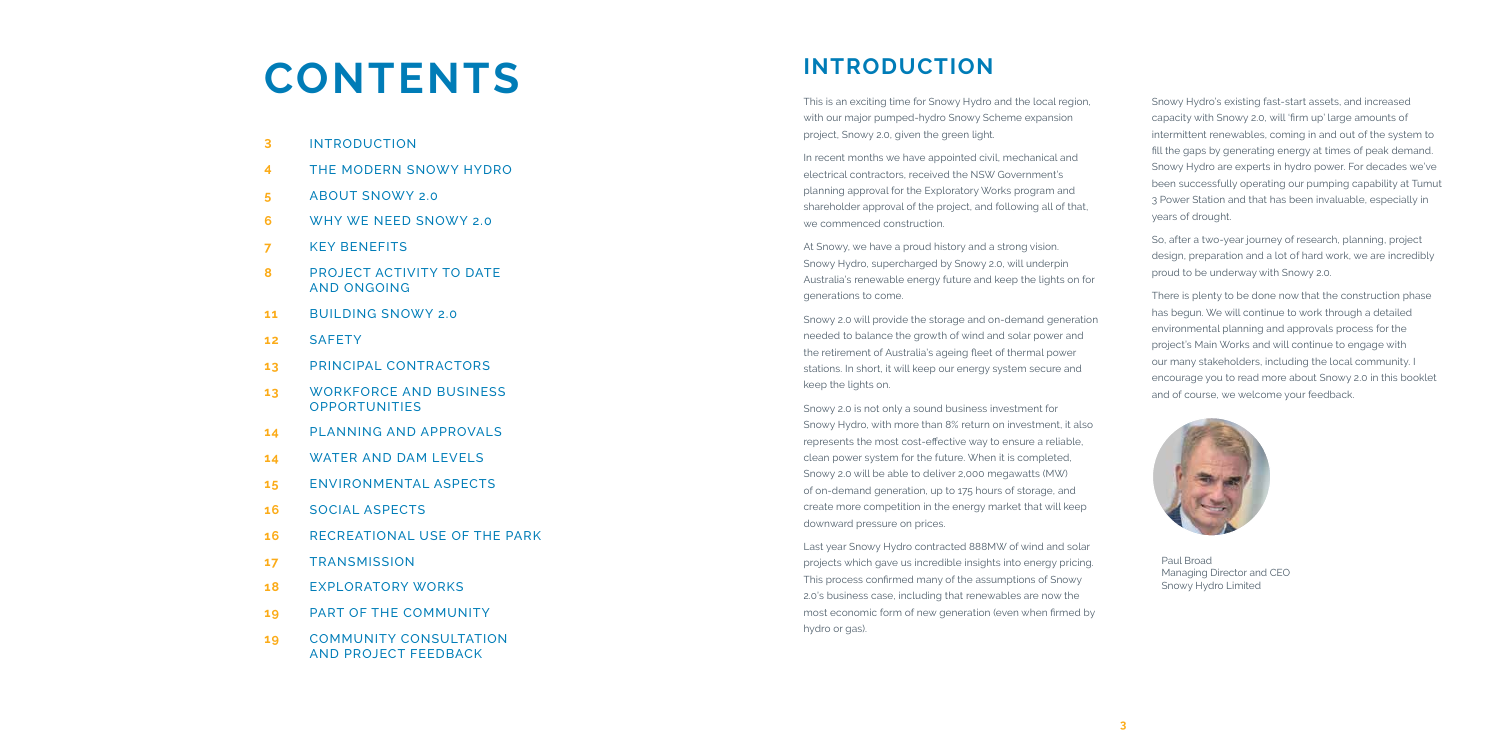

Paul Broad Managing Director and CEO Snowy Hydro Limited

## **CONTENTS**

- **3** INTRODUCTION
- **4** THE MODERN SNOWY HYDRO
- **5** ABOUT SNOWY 2.0
- **6** WHY WE NEED SNOWY 2.0
- **7** KEY BENEFITS
- **8** PROJECT ACTIVITY TO DATE AND ONGOING
- **11** BUILDING SNOWY 2.0
- **12** SAFETY
- **13** PRINCIPAL CONTRACTORS
- **13** WORKFORCE AND BUSINESS **OPPORTUNITIES**
- **14** PLANNING AND APPROVALS
- **14** WATER AND DAM LEVELS
- **15** ENVIRONMENTAL ASPECTS
- **16** SOCIAL ASPECTS
- **16** RECREATIONAL USE OF THE PARK
- **17** TRANSMISSION
- **18** EXPLORATORY WORKS
- **19** PART OF THE COMMUNITY
- **19** COMMUNITY CONSULTATION AND PROJECT FEEDBACK

Snowy Hydro's existing fast-start assets, and increased capacity with Snowy 2.0, will 'firm up' large amounts of intermittent renewables, coming in and out of the system to fill the gaps by generating energy at times of peak demand. Snowy Hydro are experts in hydro power. For decades we've been successfully operating our pumping capability at Tumut 3 Power Station and that has been invaluable, especially in years of drought.

So, after a two-year journey of research, planning, project design, preparation and a lot of hard work, we are incredibly proud to be underway with Snowy 2.0.

There is plenty to be done now that the construction phase has begun. We will continue to work through a detailed environmental planning and approvals process for the project's Main Works and will continue to engage with our many stakeholders, including the local community. I encourage you to read more about Snowy 2.0 in this booklet and of course, we welcome your feedback.

#### **INTRODUCTION**

This is an exciting time for Snowy Hydro and the local region, with our major pumped-hydro Snowy Scheme expansion project, Snowy 2.0, given the green light.

In recent months we have appointed civil, mechanical and electrical contractors, received the NSW Government's planning approval for the Exploratory Works program and shareholder approval of the project, and following all of that, we commenced construction.

At Snowy, we have a proud history and a strong vision. Snowy Hydro, supercharged by Snowy 2.0, will underpin Australia's renewable energy future and keep the lights on for generations to come.

Snowy 2.0 will provide the storage and on-demand generation needed to balance the growth of wind and solar power and the retirement of Australia's ageing fleet of thermal power stations. In short, it will keep our energy system secure and keep the lights on.

Snowy 2.0 is not only a sound business investment for Snowy Hydro, with more than 8% return on investment, it also represents the most cost-effective way to ensure a reliable, clean power system for the future. When it is completed, Snowy 2.0 will be able to deliver 2,000 megawatts (MW) of on-demand generation, up to 175 hours of storage, and create more competition in the energy market that will keep downward pressure on prices.

Last year Snowy Hydro contracted 888MW of wind and solar projects which gave us incredible insights into energy pricing. This process confirmed many of the assumptions of Snowy 2.0's business case, including that renewables are now the most economic form of new generation (even when firmed by hydro or gas).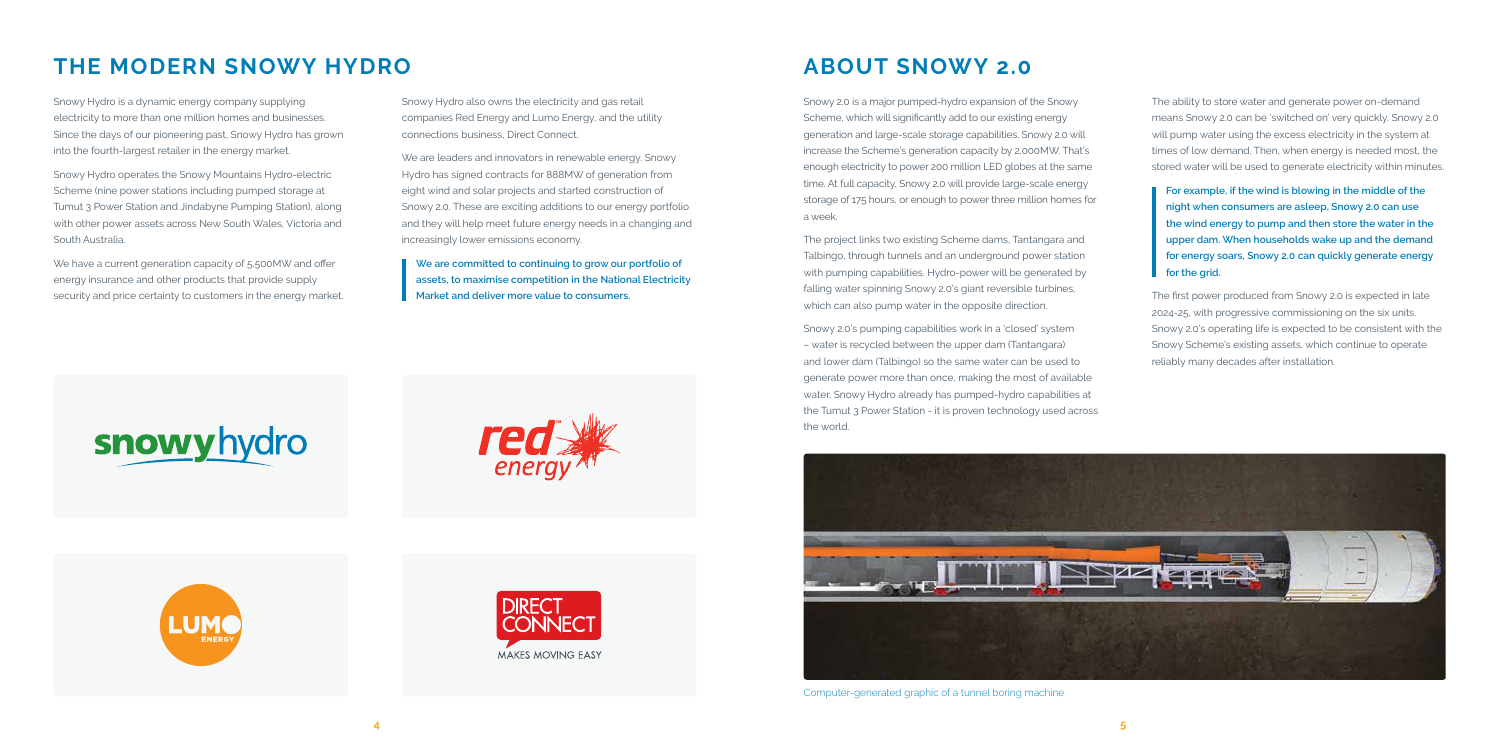The ability to store water and generate power on-demand means Snowy 2.0 can be 'switched on' very quickly. Snowy 2.0 will pump water using the excess electricity in the system at times of low demand. Then, when energy is needed most, the stored water will be used to generate electricity within minutes.

**For example, if the wind is blowing in the middle of the night when consumers are asleep, Snowy 2.0 can use the wind energy to pump and then store the water in the upper dam. When households wake up and the demand for energy soars, Snowy 2.0 can quickly generate energy for the grid.**

The first power produced from Snowy 2.0 is expected in late 2024-25, with progressive commissioning on the six units. Snowy 2.0's operating life is expected to be consistent with the Snowy Scheme's existing assets, which continue to operate reliably many decades after installation.

### **ABOUT SNOWY 2.0**

Snowy 2.0 is a major pumped-hydro expansion of the Snowy Scheme, which will significantly add to our existing energy generation and large-scale storage capabilities. Snowy 2.0 will increase the Scheme's generation capacity by 2,000MW. That's enough electricity to power 200 million LED globes at the same time. At full capacity, Snowy 2.0 will provide large-scale energy storage of 175 hours, or enough to power three million homes for a week.

We have a current generation capacity of 5,500 MW and offer energy insurance and other products that provide supply security and price certainty to customers in the energy market. The project links two existing Scheme dams, Tantangara and Talbingo, through tunnels and an underground power station with pumping capabilities. Hydro-power will be generated by falling water spinning Snowy 2.0's giant reversible turbines, which can also pump water in the opposite direction.

Snowy 2.0's pumping capabilities work in a 'closed' system – water is recycled between the upper dam (Tantangara) and lower dam (Talbingo) so the same water can be used to generate power more than once, making the most of available water. Snowy Hydro already has pumped-hydro capabilities at the Tumut 3 Power Station - it is proven technology used across the world.

## **THE MODERN SNOWY HYDRO**

Snowy Hydro is a dynamic energy company supplying electricity to more than one million homes and businesses. Since the days of our pioneering past, Snowy Hydro has grown into the fourth-largest retailer in the energy market.

Snowy Hydro operates the Snowy Mountains Hydro-electric Scheme (nine power stations including pumped storage at Tumut 3 Power Station and Jindabyne Pumping Station), along with other power assets across New South Wales, Victoria and South Australia.

Snowy Hydro also owns the electricity and gas retail companies Red Energy and Lumo Energy, and the utility connections business, Direct Connect.

We are leaders and innovators in renewable energy. Snowy Hydro has signed contracts for 888MW of generation from eight wind and solar projects and started construction of Snowy 2.0. These are exciting additions to our energy portfolio and they will help meet future energy needs in a changing and increasingly lower emissions economy.

**We are committed to continuing to grow our portfolio of assets, to maximise competition in the National Electricity Market and deliver more value to consumers.** 

## snowyhydro









Computer-generated graphic of a tunnel boring machine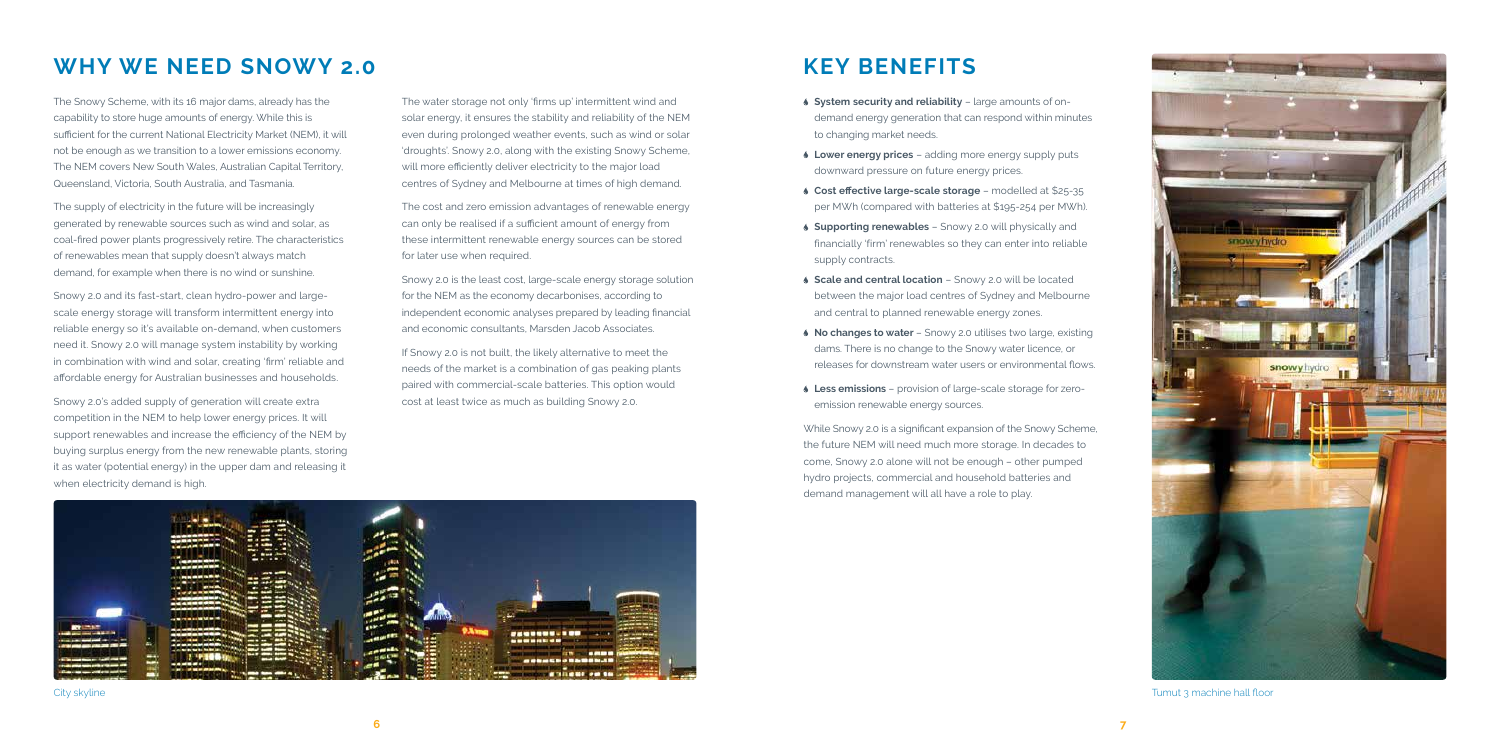

- **System security and reliability** large amounts of ondemand energy generation that can respond within minutes to changing market needs.
- **Lower energy prices** adding more energy supply puts downward pressure on future energy prices.
- **Cost effective large-scale storage** modelled at \$25-35 per MWh (compared with batteries at \$195-254 per MWh).
- **Supporting renewables**  Snowy 2.0 will physically and financially 'firm' renewables so they can enter into reliable supply contracts.
- **Scale and central location** Snowy 2.0 will be located between the major load centres of Sydney and Melbourne and central to planned renewable energy zones.
- **No changes to water** Snowy 2.0 utilises two large, existing dams. There is no change to the Snowy water licence, or releases for downstream water users or environmental flows.
- **Less emissions**  provision of large-scale storage for zeroemission renewable energy sources.

While Snowy 2.0 is a significant expansion of the Snowy Scheme, the future NEM will need much more storage. In decades to come, Snowy 2.0 alone will not be enough – other pumped hydro projects, commercial and household batteries and demand management will all have a role to play.



#### **WHY WE NEED SNOWY 2.0**

The Snowy Scheme, with its 16 major dams, already has the capability to store huge amounts of energy. While this is sufficient for the current National Electricity Market (NEM), it will not be enough as we transition to a lower emissions economy. The NEM covers New South Wales, Australian Capital Territory, Queensland, Victoria, South Australia, and Tasmania.

The supply of electricity in the future will be increasingly generated by renewable sources such as wind and solar, as coal-fired power plants progressively retire. The characteristics of renewables mean that supply doesn't always match demand, for example when there is no wind or sunshine.

Snowy 2.0 and its fast-start, clean hydro-power and largescale energy storage will transform intermittent energy into reliable energy so it's available on-demand, when customers need it. Snowy 2.0 will manage system instability by working in combination with wind and solar, creating 'firm' reliable and affordable energy for Australian businesses and households.

Snowy 2.0's added supply of generation will create extra competition in the NEM to help lower energy prices. It will support renewables and increase the efficiency of the NEM by buying surplus energy from the new renewable plants, storing it as water (potential energy) in the upper dam and releasing it when electricity demand is high.

The water storage not only 'firms up' intermittent wind and solar energy, it ensures the stability and reliability of the NEM even during prolonged weather events, such as wind or solar 'droughts'. Snowy 2.0, along with the existing Snowy Scheme, will more efficiently deliver electricity to the major load centres of Sydney and Melbourne at times of high demand.

The cost and zero emission advantages of renewable energy can only be realised if a sufficient amount of energy from these intermittent renewable energy sources can be stored for later use when required.

Snowy 2.0 is the least cost, large-scale energy storage solution for the NEM as the economy decarbonises, according to independent economic analyses prepared by leading financial and economic consultants, Marsden Jacob Associates.

If Snowy 2.0 is not built, the likely alternative to meet the needs of the market is a combination of gas peaking plants paired with commercial-scale batteries. This option would cost at least twice as much as building Snowy 2.0.

#### **KEY BENEFITS**

City skyline Tumut 3 machine hall floor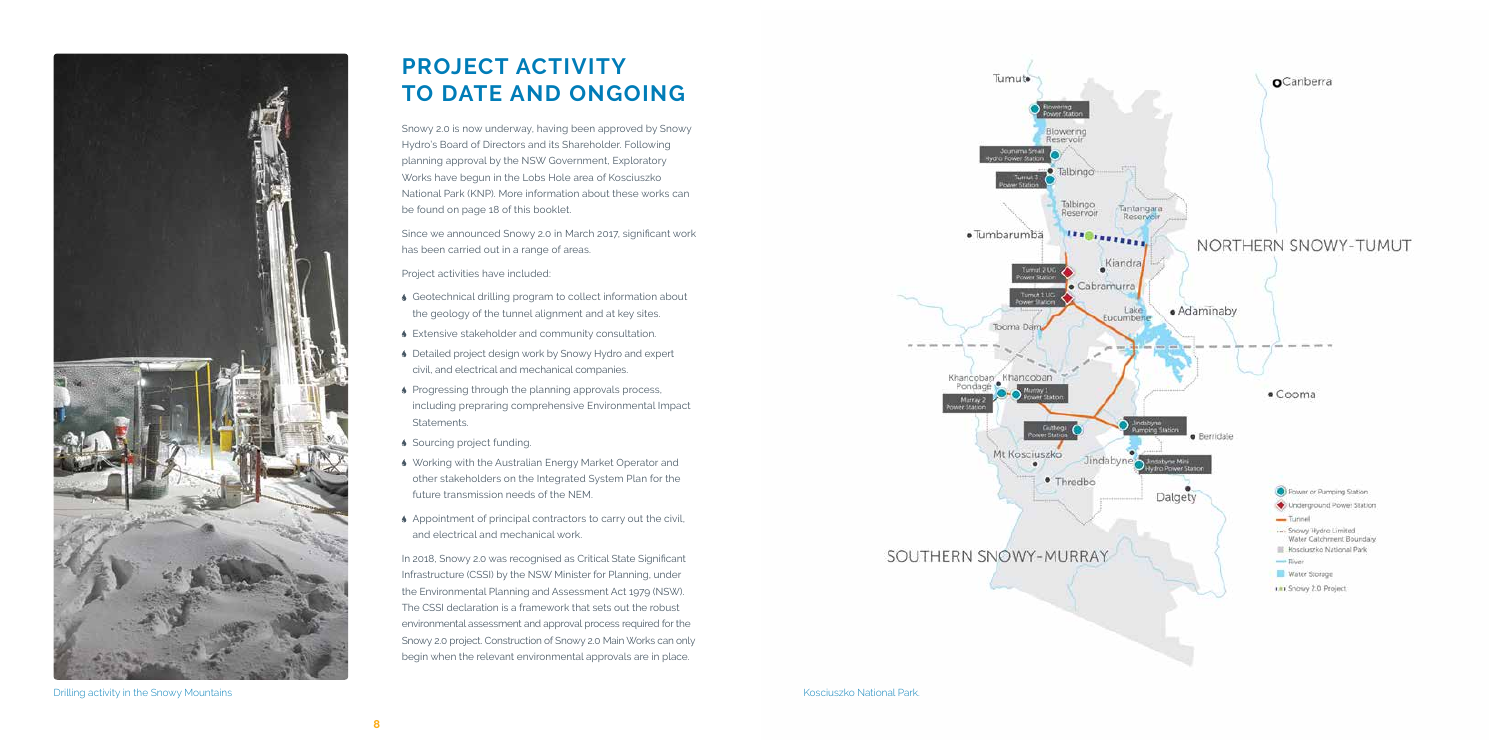

Drilling activity in the Snowy Mountains **Example 2018** National Park. Control of the Snowy Mountains Activity in the Snowy Mountains and Park.

## **PROJECT ACTIVITY TO DATE AND ONGOING**

Snowy 2.0 is now underway, having been approved by Snowy Hydro's Board of Directors and its Shareholder. Following planning approval by the NSW Government, Exploratory Works have begun in the Lobs Hole area of Kosciuszko National Park (KNP). More information about these works can be found on page 18 of this booklet.

Since we announced Snowy 2.0 in March 2017, significant work has been carried out in a range of areas.

Project activities have included:

- Geotechnical drilling program to collect information about the geology of the tunnel alignment and at key sites.
- Extensive stakeholder and community consultation.
- ♦ Detailed project design work by Snowy Hydro and expert civil, and electrical and mechanical companies.
- **Progressing through the planning approvals process,** including prepraring comprehensive Environmental Impact Statements.
- Sourcing project funding.
- Working with the Australian Energy Market Operator and other stakeholders on the Integrated System Plan for the future transmission needs of the NEM.
- Appointment of principal contractors to carry out the civil, and electrical and mechanical work.

In 2018, Snowy 2.0 was recognised as Critical State Significant Infrastructure (CSSI) by the NSW Minister for Planning, under the Environmental Planning and Assessment Act 1979 (NSW). The CSSI declaration is a framework that sets out the robust environmental assessment and approval process required for the Snowy 2.0 project. Construction of Snowy 2.0 Main Works can only begin when the relevant environmental approvals are in place.



#### SOUTHERN SNOWY-MURRAY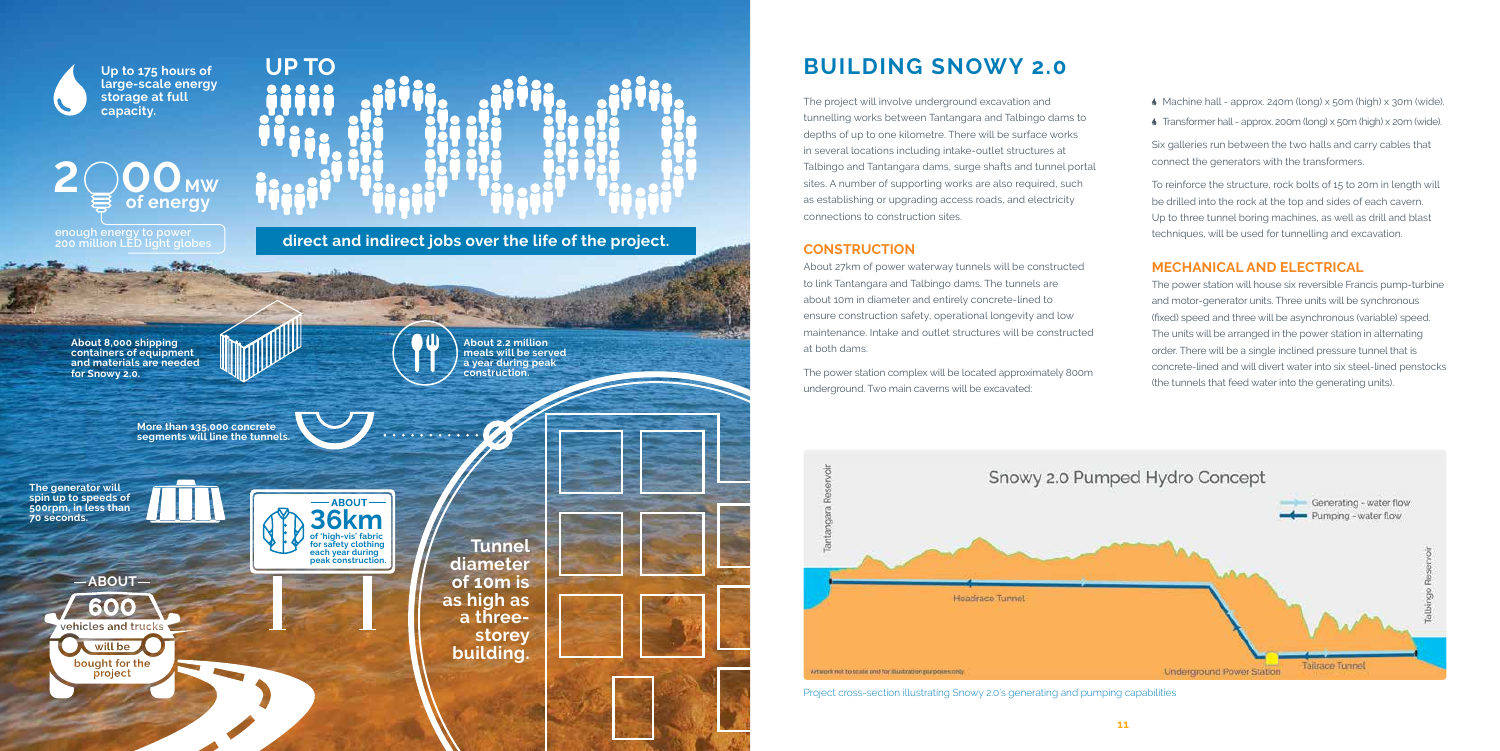The project will involve underground excavation and tunnelling works between Tantangara and Talbingo dams to depths of up to one kilometre. There will be surface works in several locations including intake-outlet structures at Talbingo and Tantangara dams, surge shafts and tunnel portal sites. A number of supporting works are also required, such as establishing or upgrading access roads, and electricity connections to construction sites.

#### **CONSTRUCTION**

About 27km of power waterway tunnels will be constructed to link Tantangara and Talbingo dams. The tunnels are about 10m in diameter and entirely concrete-lined to ensure construction safety, operational longevity and low maintenance. Intake and outlet structures will be constructed at both dams.

The power station complex will be located approximately 800m underground. Two main caverns will be excavated:



- Machine hall approx. 240m (long) x 50m (high) x 30m (wide).
- Transformer hall approx. 200m (long) x 50m (high) x 20m (wide).

**direct and indirect and indirect jobs over the life of the project. enough energy to power 200 million LED light globes** 

## 200<sub>MW</sub> **of energy**

Six galleries run between the two halls and carry cables that connect the generators with the transformers.

To reinforce the structure, rock bolts of 15 to 20m in length will be drilled into the rock at the top and sides of each cavern. Up to three tunnel boring machines, as well as drill and blast techniques, will be used for tunnelling and excavation.

#### **MECHANICAL AND ELECTRICAL**

The power station will house six reversible Francis pump-turbine and motor-generator units. Three units will be synchronous (fixed) speed and three will be asynchronous (variable) speed. The units will be arranged in the power station in alternating order. There will be a single inclined pressure tunnel that is concrete-lined and will divert water into six steel-lined penstocks (the tunnels that feed water into the generating units).

**UP TO BUILDING SNOWY 2.0**

**About 8,000 shipping containers of equipment and materials are needed for Snowy 2.0.**

> **More than 135,000 concrete segments will line the tunnels.**

> > **Tunnel diameter of 10m is as high as a threestorey building.**

**The generator will spin up to speeds of 500rpm, in less than 70 seconds.**

600

will be bought for the

project

**About 2.2 million meals will be served a year during peak construction.**

Ø



**Up to 175 hours of large-scale energy storage at full capacity.**



Project cross-section illustrating Snowy 2.0's generating and pumping capabilities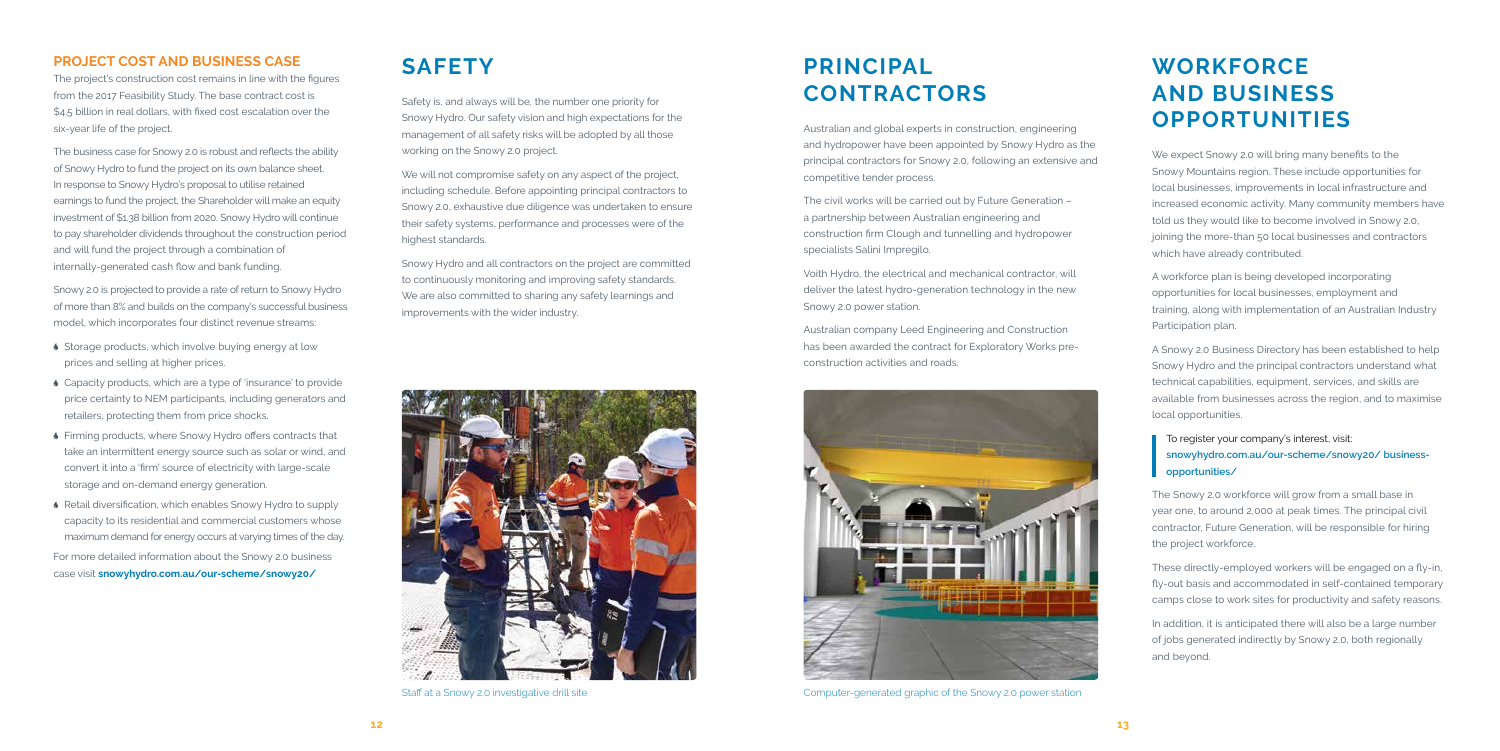#### **WORKFORCE AND BUSINESS OPPORTUNITIES**

#### **PRINCIPAL CONTRACTORS**

#### **SAFETY**

We expect Snowy 2.0 will bring many benefits to the Snowy Mountains region. These include opportunities for local businesses, improvements in local infrastructure and increased economic activity. Many community members have told us they would like to become involved in Snowy 2.0, joining the more-than 50 local businesses and contractors which have already contributed.

A workforce plan is being developed incorporating opportunities for local businesses, employment and training, along with implementation of an Australian Industry Participation plan.

A Snowy 2.0 Business Directory has been established to help Snowy Hydro and the principal contractors understand what technical capabilities, equipment, services, and skills are available from businesses across the region, and to maximise local opportunities.

#### To register your company's interest, visit: **snowyhydro.com.au/our-scheme/snowy20/ businessopportunities/**

The Snowy 2.0 workforce will grow from a small base in year one, to around 2,000 at peak times. The principal civil contractor, Future Generation, will be responsible for hiring the project workforce.

These directly-employed workers will be engaged on a fly-in, fly-out basis and accommodated in self-contained temporary camps close to work sites for productivity and safety reasons.

In addition, it is anticipated there will also be a large number of jobs generated indirectly by Snowy 2.0, both regionally and beyond.

Australian and global experts in construction, engineering and hydropower have been appointed by Snowy Hydro as the principal contractors for Snowy 2.0, following an extensive and competitive tender process.

The civil works will be carried out by Future Generation – a partnership between Australian engineering and construction firm Clough and tunnelling and hydropower specialists Salini Impregilo.

- ◆ Storage products, which involve buying energy at low prices and selling at higher prices.
- Capacity products, which are a type of 'insurance' to provide price certainty to NEM participants, including generators and retailers, protecting them from price shocks.
- Firming products, where Snowy Hydro offers contracts that take an intermittent energy source such as solar or wind, and convert it into a 'firm' source of electricity with large-scale storage and on-demand energy generation.
- Retail diversification, which enables Snowy Hydro to supply capacity to its residential and commercial customers whose maximum demand for energy occurs at varying times of the day.

Voith Hydro, the electrical and mechanical contractor, will deliver the latest hydro-generation technology in the new Snowy 2.0 power station.

Australian company Leed Engineering and Construction has been awarded the contract for Exploratory Works preconstruction activities and roads.

We will not compromise safety on any aspect of the project, including schedule. Before appointing principal contractors to Snowy 2.0, exhaustive due diligence was undertaken to ensure their safety systems, performance and processes were of the highest standards.

#### **PROJECT COST AND BUSINESS CASE**

The project's construction cost remains in line with the figures from the 2017 Feasibility Study. The base contract cost is \$4.5 billion in real dollars, with fixed cost escalation over the six-year life of the project.

The business case for Snowy 2.0 is robust and reflects the ability of Snowy Hydro to fund the project on its own balance sheet. In response to Snowy Hydro's proposal to utilise retained earnings to fund the project, the Shareholder will make an equity investment of \$1.38 billion from 2020. Snowy Hydro will continue to pay shareholder dividends throughout the construction period and will fund the project through a combination of internally-generated cash flow and bank funding.

Snowy 2.0 is projected to provide a rate of return to Snowy Hydro of more than 8% and builds on the company's successful business model, which incorporates four distinct revenue streams:

For more detailed information about the Snowy 2.0 business case visit **snowyhydro.com.au/our-scheme/snowy20/**



Computer-generated graphic of the Snowy 2.0 power station

Safety is, and always will be, the number one priority for Snowy Hydro. Our safety vision and high expectations for the management of all safety risks will be adopted by all those working on the Snowy 2.0 project.

Snowy Hydro and all contractors on the project are committed to continuously monitoring and improving safety standards. We are also committed to sharing any safety learnings and improvements with the wider industry.



Staff at a Snowy 2.0 investigative drill site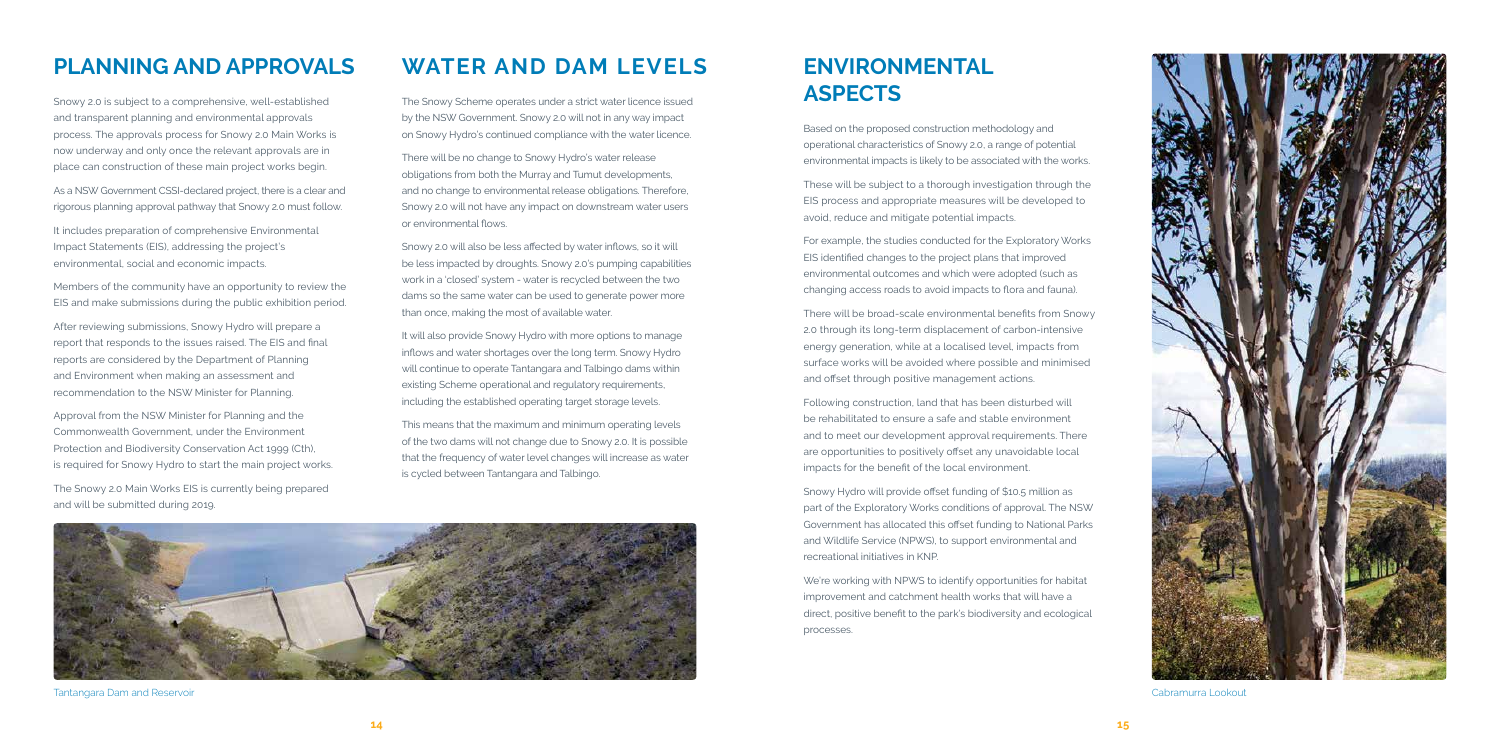

#### **ENVIRONMENTAL ASPECTS**

Based on the proposed construction methodology and operational characteristics of Snowy 2.0, a range of potential environmental impacts is likely to be associated with the works.

These will be subject to a thorough investigation through the EIS process and appropriate measures will be developed to avoid, reduce and mitigate potential impacts.

For example, the studies conducted for the Exploratory Works EIS identified changes to the project plans that improved environmental outcomes and which were adopted (such as changing access roads to avoid impacts to flora and fauna).

There will be broad-scale environmental benefits from Snowy 2.0 through its long-term displacement of carbon-intensive energy generation, while at a localised level, impacts from surface works will be avoided where possible and minimised and offset through positive management actions.

Following construction, land that has been disturbed will be rehabilitated to ensure a safe and stable environment and to meet our development approval requirements. There are opportunities to positively offset any unavoidable local impacts for the benefit of the local environment.

Snowy Hydro will provide offset funding of \$10.5 million as part of the Exploratory Works conditions of approval. The NSW Government has allocated this offset funding to National Parks and Wildlife Service (NPWS), to support environmental and recreational initiatives in KNP.

We're working with NPWS to identify opportunities for habitat improvement and catchment health works that will have a direct, positive benefit to the park's biodiversity and ecological processes.

Cabramurra Lookout

#### **PLANNING AND APPROVALS**

Snowy 2.0 is subject to a comprehensive, well-established and transparent planning and environmental approvals process. The approvals process for Snowy 2.0 Main Works is now underway and only once the relevant approvals are in place can construction of these main project works begin.

As a NSW Government CSSI-declared project, there is a clear and rigorous planning approval pathway that Snowy 2.0 must follow.

It includes preparation of comprehensive Environmental Impact Statements (EIS), addressing the project's environmental, social and economic impacts.

Members of the community have an opportunity to review the EIS and make submissions during the public exhibition period.

After reviewing submissions, Snowy Hydro will prepare a report that responds to the issues raised. The EIS and final reports are considered by the Department of Planning and Environment when making an assessment and recommendation to the NSW Minister for Planning.

Approval from the NSW Minister for Planning and the Commonwealth Government, under the Environment Protection and Biodiversity Conservation Act 1999 (Cth), is required for Snowy Hydro to start the main project works.

The Snowy 2.0 Main Works EIS is currently being prepared and will be submitted during 2019.

#### **WATER AND DAM LEVELS**

The Snowy Scheme operates under a strict water licence issued by the NSW Government. Snowy 2.0 will not in any way impact on Snowy Hydro's continued compliance with the water licence.

There will be no change to Snowy Hydro's water release obligations from both the Murray and Tumut developments, and no change to environmental release obligations. Therefore, Snowy 2.0 will not have any impact on downstream water users or environmental flows.

Snowy 2.0 will also be less affected by water inflows, so it will be less impacted by droughts. Snowy 2.0's pumping capabilities work in a 'closed' system - water is recycled between the two dams so the same water can be used to generate power more than once, making the most of available water.

It will also provide Snowy Hydro with more options to manage inflows and water shortages over the long term. Snowy Hydro will continue to operate Tantangara and Talbingo dams within existing Scheme operational and regulatory requirements, including the established operating target storage levels.

This means that the maximum and minimum operating levels of the two dams will not change due to Snowy 2.0. It is possible that the frequency of water level changes will increase as water is cycled between Tantangara and Talbingo.



Tantangara Dam and Reservoir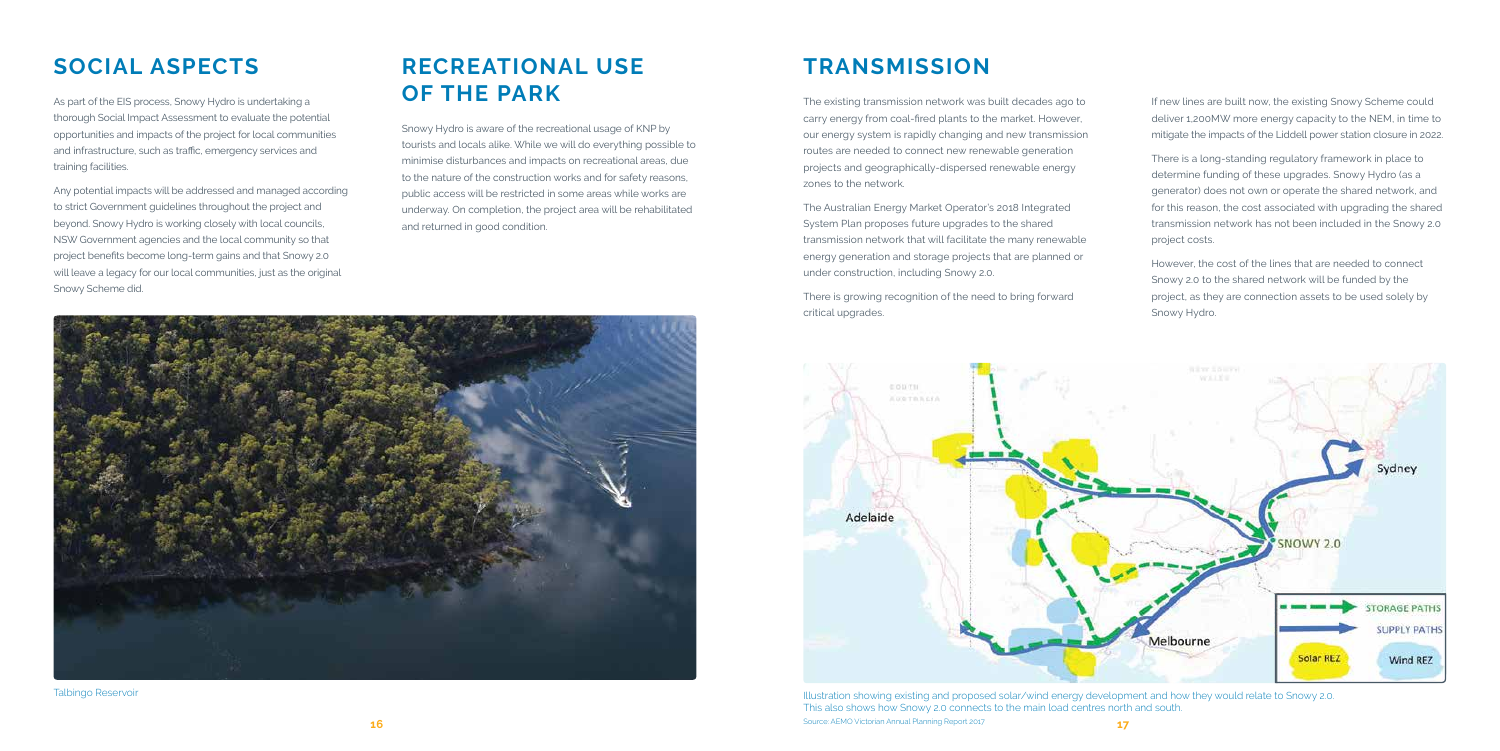### **SOCIAL ASPECTS RECREATIONAL USE**  As part of the EIS process, Snowy Hydro is undertaking a **OF THE PARK**

thorough Social Impact Assessment to evaluate the potential opportunities and impacts of the project for local communities and infrastructure, such as traffic, emergency services and training facilities.

Any potential impacts will be addressed and managed according to strict Government guidelines throughout the project and beyond. Snowy Hydro is working closely with local councils, NSW Government agencies and the local community so that project benefits become long-term gains and that Snowy 2.0 will leave a legacy for our local communities, just as the original Snowy Scheme did.

Snowy Hydro is aware of the recreational usage of KNP by tourists and locals alike. While we will do everything possible to minimise disturbances and impacts on recreational areas, due to the nature of the construction works and for safety reasons, public access will be restricted in some areas while works are underway. On completion, the project area will be rehabilitated and returned in good condition.



**16** Source: AEMO Victorian Annual Planning Report 2017 **17 17** Illustration showing existing and proposed solar/wind energy development and how they would relate to Snowy 2.0. This also shows how Snowy 2.0 connects to the main load centres north and south.

Talbingo Reservoir

## **TRANSMISSION**

The existing transmission network was built decades ago to carry energy from coal-fired plants to the market. However, our energy system is rapidly changing and new transmission routes are needed to connect new renewable generation projects and geographically-dispersed renewable energy zones to the network.

The Australian Energy Market Operator's 2018 Integrated System Plan proposes future upgrades to the shared transmission network that will facilitate the many renewable energy generation and storage projects that are planned or under construction, including Snowy 2.0.

There is growing recognition of the need to bring forward critical upgrades.



If new lines are built now, the existing Snowy Scheme could deliver 1,200MW more energy capacity to the NEM, in time to mitigate the impacts of the Liddell power station closure in 2022.

There is a long-standing regulatory framework in place to determine funding of these upgrades. Snowy Hydro (as a generator) does not own or operate the shared network, and for this reason, the cost associated with upgrading the shared transmission network has not been included in the Snowy 2.0 project costs.

However, the cost of the lines that are needed to connect Snowy 2.0 to the shared network will be funded by the project, as they are connection assets to be used solely by Snowy Hydro.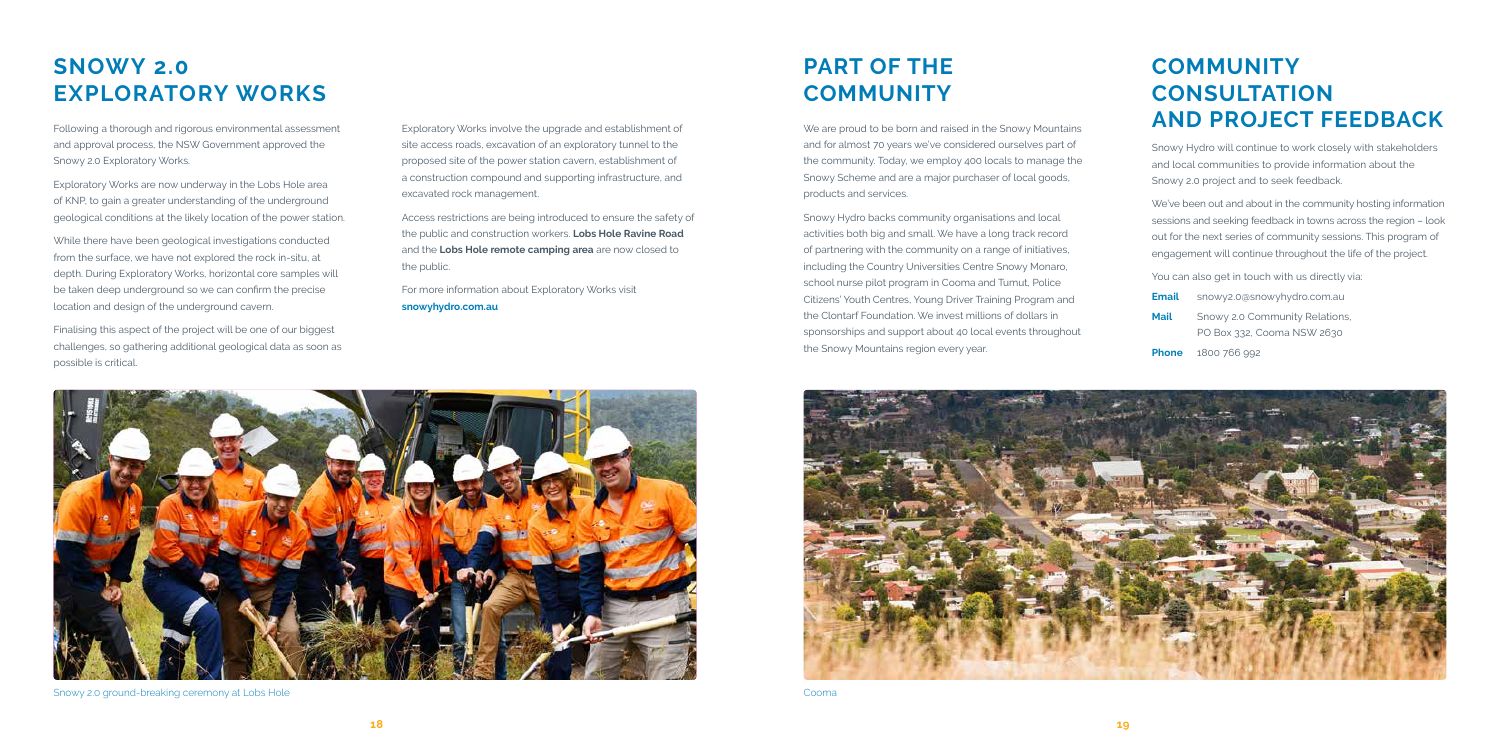### **SNOWY 2.0 EXPLORATORY WORKS**

Following a thorough and rigorous environmental assessment and approval process, the NSW Government approved the Snowy 2.0 Exploratory Works.

Exploratory Works are now underway in the Lobs Hole area of KNP, to gain a greater understanding of the underground geological conditions at the likely location of the power station.

While there have been geological investigations conducted from the surface, we have not explored the rock in-situ, at depth. During Exploratory Works, horizontal core samples will be taken deep underground so we can confirm the precise location and design of the underground cavern.

Finalising this aspect of the project will be one of our biggest challenges, so gathering additional geological data as soon as possible is critical.

Exploratory Works involve the upgrade and establishment of site access roads, excavation of an exploratory tunnel to the proposed site of the power station cavern, establishment of a construction compound and supporting infrastructure, and excavated rock management.

We are proud to be born and raised in the Snowy Mountains and for almost 70 years we've considered ourselves part of the community. Today, we employ 400 locals to manage the Snowy Scheme and are a major purchaser of local goods, products and services.

Access restrictions are being introduced to ensure the safety of the public and construction workers. **Lobs Hole Ravine Road** and the **Lobs Hole remote camping area** are now closed to the public.

For more information about Exploratory Works visit **snowyhydro.com.au**

#### **COMMUNITY CONSULTATION AND PROJECT FEEDBACK**





Snowy 2.0 ground-breaking ceremony at Lobs Hole Cooma



Snowy Hydro will continue to work closely with stakeholders and local communities to provide information about the Snowy 2.0 project and to seek feedback.

We've been out and about in the community hosting information sessions and seeking feedback in towns across the region – look out for the next series of community sessions. This program of engagement will continue throughout the life of the project.

You can also get in touch with us directly via:

| Email | snowy2.0@snowyhydro.com.au                                   |
|-------|--------------------------------------------------------------|
| Mail  | Snowy 2.0 Community Relations,<br>PO Box 332, Cooma NSW 2630 |
|       |                                                              |

**Phone** 1800 766 992

Snowy Hydro backs community organisations and local activities both big and small. We have a long track record of partnering with the community on a range of initiatives, including the Country Universities Centre Snowy Monaro, school nurse pilot program in Cooma and Tumut, Police Citizens' Youth Centres, Young Driver Training Program and the Clontarf Foundation. We invest millions of dollars in sponsorships and support about 40 local events throughout the Snowy Mountains region every year.